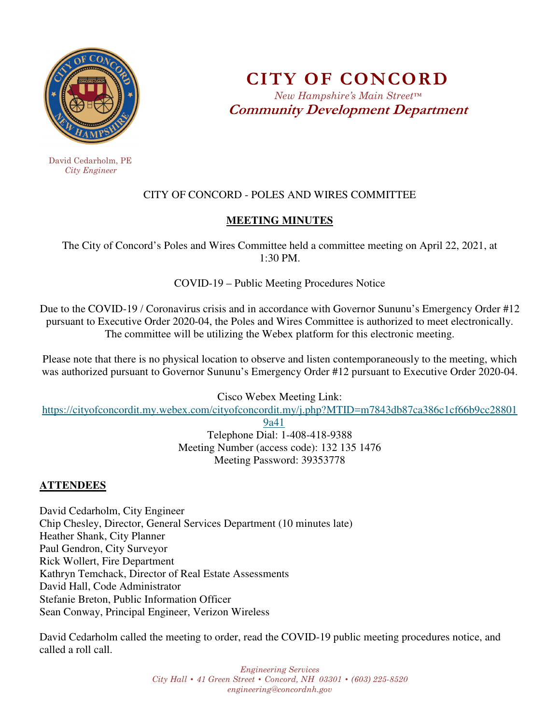

 David Cedarholm, PE  *City Engineer* 

**CITY OF CONCORD**  *New Hampshire's Main Street™* **Community Development Department** 

# CITY OF CONCORD - POLES AND WIRES COMMITTEE

### **MEETING MINUTES**

The City of Concord's Poles and Wires Committee held a committee meeting on April 22, 2021, at 1:30 PM.

COVID-19 – Public Meeting Procedures Notice

Due to the COVID-19 / Coronavirus crisis and in accordance with Governor Sununu's Emergency Order #12 pursuant to Executive Order 2020-04, the Poles and Wires Committee is authorized to meet electronically. The committee will be utilizing the Webex platform for this electronic meeting.

Please note that there is no physical location to observe and listen contemporaneously to the meeting, which was authorized pursuant to Governor Sununu's Emergency Order #12 pursuant to Executive Order 2020-04.

Cisco Webex Meeting Link:

https://cityofconcordit.my.webex.com/cityofconcordit.my/j.php?MTID=m7843db87ca386c1cf66b9cc28801

9a41

Telephone Dial: 1-408-418-9388 Meeting Number (access code): 132 135 1476 Meeting Password: 39353778

# **ATTENDEES**

David Cedarholm, City Engineer Chip Chesley, Director, General Services Department (10 minutes late) Heather Shank, City Planner Paul Gendron, City Surveyor Rick Wollert, Fire Department Kathryn Temchack, Director of Real Estate Assessments David Hall, Code Administrator Stefanie Breton, Public Information Officer Sean Conway, Principal Engineer, Verizon Wireless

David Cedarholm called the meeting to order, read the COVID-19 public meeting procedures notice, and called a roll call.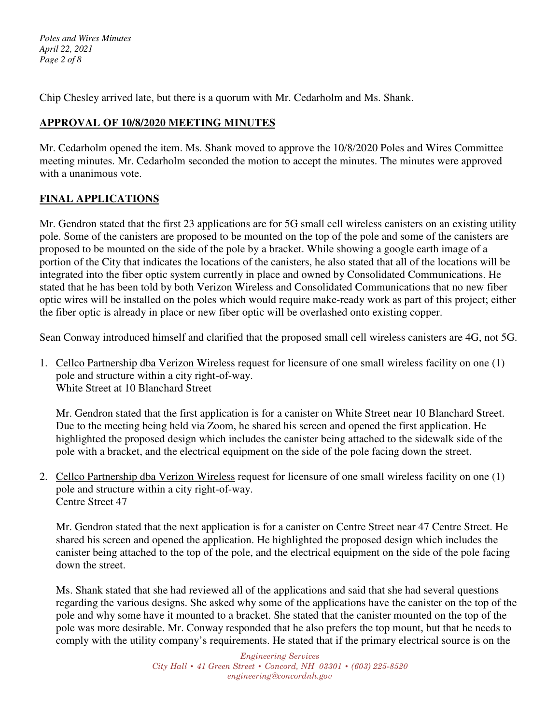*Poles and Wires Minutes April 22, 2021 Page 2 of 8* 

Chip Chesley arrived late, but there is a quorum with Mr. Cedarholm and Ms. Shank.

## **APPROVAL OF 10/8/2020 MEETING MINUTES**

Mr. Cedarholm opened the item. Ms. Shank moved to approve the 10/8/2020 Poles and Wires Committee meeting minutes. Mr. Cedarholm seconded the motion to accept the minutes. The minutes were approved with a unanimous vote.

### **FINAL APPLICATIONS**

Mr. Gendron stated that the first 23 applications are for 5G small cell wireless canisters on an existing utility pole. Some of the canisters are proposed to be mounted on the top of the pole and some of the canisters are proposed to be mounted on the side of the pole by a bracket. While showing a google earth image of a portion of the City that indicates the locations of the canisters, he also stated that all of the locations will be integrated into the fiber optic system currently in place and owned by Consolidated Communications. He stated that he has been told by both Verizon Wireless and Consolidated Communications that no new fiber optic wires will be installed on the poles which would require make-ready work as part of this project; either the fiber optic is already in place or new fiber optic will be overlashed onto existing copper.

Sean Conway introduced himself and clarified that the proposed small cell wireless canisters are 4G, not 5G.

1. Cellco Partnership dba Verizon Wireless request for licensure of one small wireless facility on one (1) pole and structure within a city right-of-way. White Street at 10 Blanchard Street

Mr. Gendron stated that the first application is for a canister on White Street near 10 Blanchard Street. Due to the meeting being held via Zoom, he shared his screen and opened the first application. He highlighted the proposed design which includes the canister being attached to the sidewalk side of the pole with a bracket, and the electrical equipment on the side of the pole facing down the street.

2. Cellco Partnership dba Verizon Wireless request for licensure of one small wireless facility on one (1) pole and structure within a city right-of-way. Centre Street 47

Mr. Gendron stated that the next application is for a canister on Centre Street near 47 Centre Street. He shared his screen and opened the application. He highlighted the proposed design which includes the canister being attached to the top of the pole, and the electrical equipment on the side of the pole facing down the street.

Ms. Shank stated that she had reviewed all of the applications and said that she had several questions regarding the various designs. She asked why some of the applications have the canister on the top of the pole and why some have it mounted to a bracket. She stated that the canister mounted on the top of the pole was more desirable. Mr. Conway responded that he also prefers the top mount, but that he needs to comply with the utility company's requirements. He stated that if the primary electrical source is on the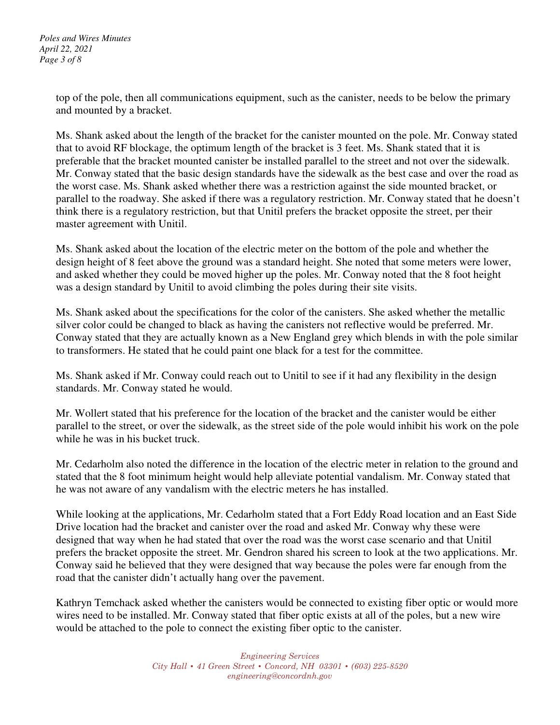*Poles and Wires Minutes April 22, 2021 Page 3 of 8* 

> top of the pole, then all communications equipment, such as the canister, needs to be below the primary and mounted by a bracket.

Ms. Shank asked about the length of the bracket for the canister mounted on the pole. Mr. Conway stated that to avoid RF blockage, the optimum length of the bracket is 3 feet. Ms. Shank stated that it is preferable that the bracket mounted canister be installed parallel to the street and not over the sidewalk. Mr. Conway stated that the basic design standards have the sidewalk as the best case and over the road as the worst case. Ms. Shank asked whether there was a restriction against the side mounted bracket, or parallel to the roadway. She asked if there was a regulatory restriction. Mr. Conway stated that he doesn't think there is a regulatory restriction, but that Unitil prefers the bracket opposite the street, per their master agreement with Unitil.

Ms. Shank asked about the location of the electric meter on the bottom of the pole and whether the design height of 8 feet above the ground was a standard height. She noted that some meters were lower, and asked whether they could be moved higher up the poles. Mr. Conway noted that the 8 foot height was a design standard by Unitil to avoid climbing the poles during their site visits.

Ms. Shank asked about the specifications for the color of the canisters. She asked whether the metallic silver color could be changed to black as having the canisters not reflective would be preferred. Mr. Conway stated that they are actually known as a New England grey which blends in with the pole similar to transformers. He stated that he could paint one black for a test for the committee.

Ms. Shank asked if Mr. Conway could reach out to Unitil to see if it had any flexibility in the design standards. Mr. Conway stated he would.

Mr. Wollert stated that his preference for the location of the bracket and the canister would be either parallel to the street, or over the sidewalk, as the street side of the pole would inhibit his work on the pole while he was in his bucket truck.

Mr. Cedarholm also noted the difference in the location of the electric meter in relation to the ground and stated that the 8 foot minimum height would help alleviate potential vandalism. Mr. Conway stated that he was not aware of any vandalism with the electric meters he has installed.

While looking at the applications, Mr. Cedarholm stated that a Fort Eddy Road location and an East Side Drive location had the bracket and canister over the road and asked Mr. Conway why these were designed that way when he had stated that over the road was the worst case scenario and that Unitil prefers the bracket opposite the street. Mr. Gendron shared his screen to look at the two applications. Mr. Conway said he believed that they were designed that way because the poles were far enough from the road that the canister didn't actually hang over the pavement.

Kathryn Temchack asked whether the canisters would be connected to existing fiber optic or would more wires need to be installed. Mr. Conway stated that fiber optic exists at all of the poles, but a new wire would be attached to the pole to connect the existing fiber optic to the canister.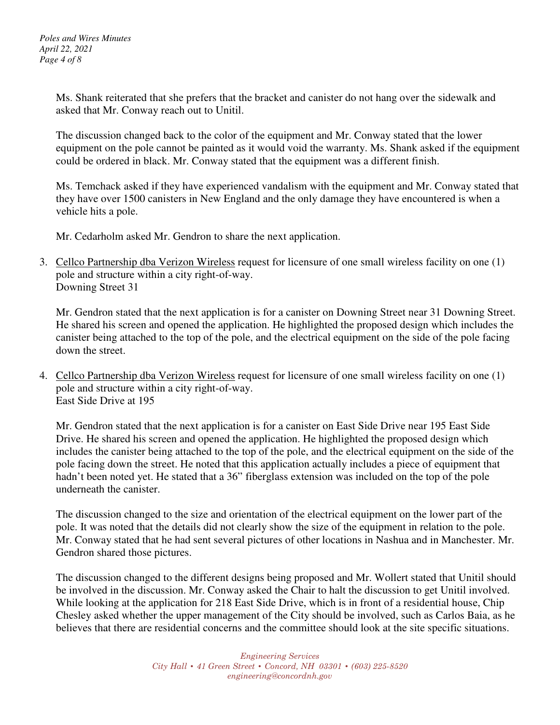Ms. Shank reiterated that she prefers that the bracket and canister do not hang over the sidewalk and asked that Mr. Conway reach out to Unitil.

The discussion changed back to the color of the equipment and Mr. Conway stated that the lower equipment on the pole cannot be painted as it would void the warranty. Ms. Shank asked if the equipment could be ordered in black. Mr. Conway stated that the equipment was a different finish.

Ms. Temchack asked if they have experienced vandalism with the equipment and Mr. Conway stated that they have over 1500 canisters in New England and the only damage they have encountered is when a vehicle hits a pole.

Mr. Cedarholm asked Mr. Gendron to share the next application.

3. Cellco Partnership dba Verizon Wireless request for licensure of one small wireless facility on one (1) pole and structure within a city right-of-way. Downing Street 31

Mr. Gendron stated that the next application is for a canister on Downing Street near 31 Downing Street. He shared his screen and opened the application. He highlighted the proposed design which includes the canister being attached to the top of the pole, and the electrical equipment on the side of the pole facing down the street.

4. Cellco Partnership dba Verizon Wireless request for licensure of one small wireless facility on one (1) pole and structure within a city right-of-way. East Side Drive at 195

Mr. Gendron stated that the next application is for a canister on East Side Drive near 195 East Side Drive. He shared his screen and opened the application. He highlighted the proposed design which includes the canister being attached to the top of the pole, and the electrical equipment on the side of the pole facing down the street. He noted that this application actually includes a piece of equipment that hadn't been noted yet. He stated that a 36" fiberglass extension was included on the top of the pole underneath the canister.

The discussion changed to the size and orientation of the electrical equipment on the lower part of the pole. It was noted that the details did not clearly show the size of the equipment in relation to the pole. Mr. Conway stated that he had sent several pictures of other locations in Nashua and in Manchester. Mr. Gendron shared those pictures.

The discussion changed to the different designs being proposed and Mr. Wollert stated that Unitil should be involved in the discussion. Mr. Conway asked the Chair to halt the discussion to get Unitil involved. While looking at the application for 218 East Side Drive, which is in front of a residential house, Chip Chesley asked whether the upper management of the City should be involved, such as Carlos Baia, as he believes that there are residential concerns and the committee should look at the site specific situations.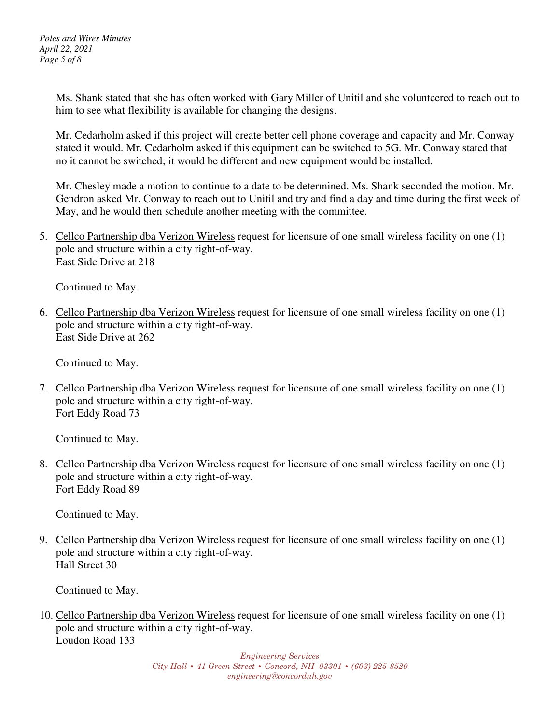Ms. Shank stated that she has often worked with Gary Miller of Unitil and she volunteered to reach out to him to see what flexibility is available for changing the designs.

Mr. Cedarholm asked if this project will create better cell phone coverage and capacity and Mr. Conway stated it would. Mr. Cedarholm asked if this equipment can be switched to 5G. Mr. Conway stated that no it cannot be switched; it would be different and new equipment would be installed.

Mr. Chesley made a motion to continue to a date to be determined. Ms. Shank seconded the motion. Mr. Gendron asked Mr. Conway to reach out to Unitil and try and find a day and time during the first week of May, and he would then schedule another meeting with the committee.

5. Cellco Partnership dba Verizon Wireless request for licensure of one small wireless facility on one (1) pole and structure within a city right-of-way. East Side Drive at 218

Continued to May.

6. Cellco Partnership dba Verizon Wireless request for licensure of one small wireless facility on one (1) pole and structure within a city right-of-way. East Side Drive at 262

Continued to May.

7. Cellco Partnership dba Verizon Wireless request for licensure of one small wireless facility on one (1) pole and structure within a city right-of-way. Fort Eddy Road 73

Continued to May.

8. Cellco Partnership dba Verizon Wireless request for licensure of one small wireless facility on one (1) pole and structure within a city right-of-way. Fort Eddy Road 89

Continued to May.

9. Cellco Partnership dba Verizon Wireless request for licensure of one small wireless facility on one (1) pole and structure within a city right-of-way. Hall Street 30

Continued to May.

10. Cellco Partnership dba Verizon Wireless request for licensure of one small wireless facility on one (1) pole and structure within a city right-of-way. Loudon Road 133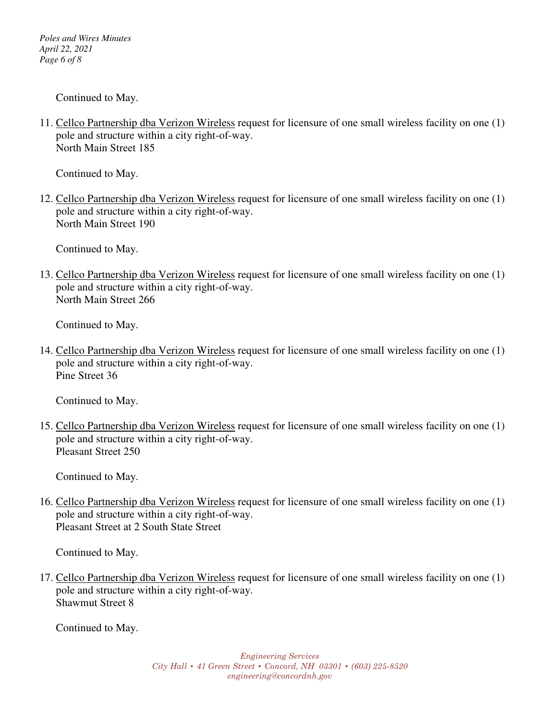*Poles and Wires Minutes April 22, 2021 Page 6 of 8* 

Continued to May.

11. Cellco Partnership dba Verizon Wireless request for licensure of one small wireless facility on one (1) pole and structure within a city right-of-way. North Main Street 185

Continued to May.

12. Cellco Partnership dba Verizon Wireless request for licensure of one small wireless facility on one (1) pole and structure within a city right-of-way. North Main Street 190

Continued to May.

13. Cellco Partnership dba Verizon Wireless request for licensure of one small wireless facility on one (1) pole and structure within a city right-of-way. North Main Street 266

Continued to May.

14. Cellco Partnership dba Verizon Wireless request for licensure of one small wireless facility on one (1) pole and structure within a city right-of-way. Pine Street 36

Continued to May.

15. Cellco Partnership dba Verizon Wireless request for licensure of one small wireless facility on one (1) pole and structure within a city right-of-way. Pleasant Street 250

Continued to May.

16. Cellco Partnership dba Verizon Wireless request for licensure of one small wireless facility on one (1) pole and structure within a city right-of-way. Pleasant Street at 2 South State Street

Continued to May.

17. Cellco Partnership dba Verizon Wireless request for licensure of one small wireless facility on one (1) pole and structure within a city right-of-way. Shawmut Street 8

Continued to May.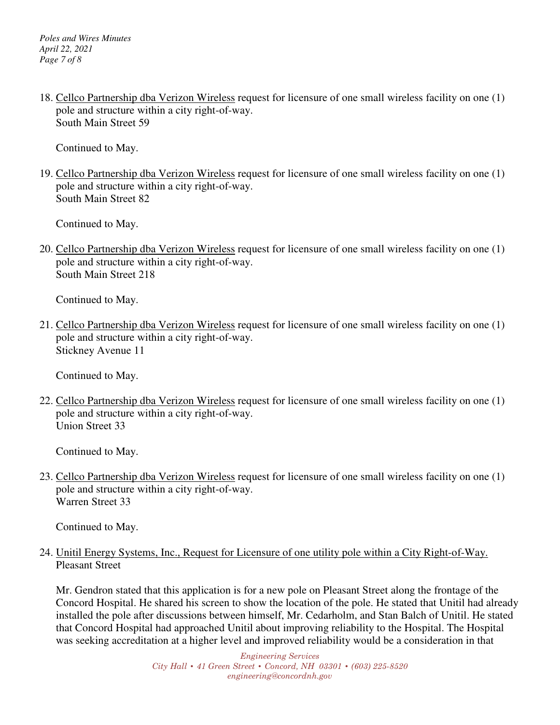18. Cellco Partnership dba Verizon Wireless request for licensure of one small wireless facility on one (1) pole and structure within a city right-of-way. South Main Street 59

Continued to May.

19. Cellco Partnership dba Verizon Wireless request for licensure of one small wireless facility on one (1) pole and structure within a city right-of-way. South Main Street 82

Continued to May.

20. Cellco Partnership dba Verizon Wireless request for licensure of one small wireless facility on one (1) pole and structure within a city right-of-way. South Main Street 218

Continued to May.

21. Cellco Partnership dba Verizon Wireless request for licensure of one small wireless facility on one (1) pole and structure within a city right-of-way. Stickney Avenue 11

Continued to May.

22. Cellco Partnership dba Verizon Wireless request for licensure of one small wireless facility on one (1) pole and structure within a city right-of-way. Union Street 33

Continued to May.

23. Cellco Partnership dba Verizon Wireless request for licensure of one small wireless facility on one (1) pole and structure within a city right-of-way. Warren Street 33

Continued to May.

24. Unitil Energy Systems, Inc., Request for Licensure of one utility pole within a City Right-of-Way. Pleasant Street

Mr. Gendron stated that this application is for a new pole on Pleasant Street along the frontage of the Concord Hospital. He shared his screen to show the location of the pole. He stated that Unitil had already installed the pole after discussions between himself, Mr. Cedarholm, and Stan Balch of Unitil. He stated that Concord Hospital had approached Unitil about improving reliability to the Hospital. The Hospital was seeking accreditation at a higher level and improved reliability would be a consideration in that